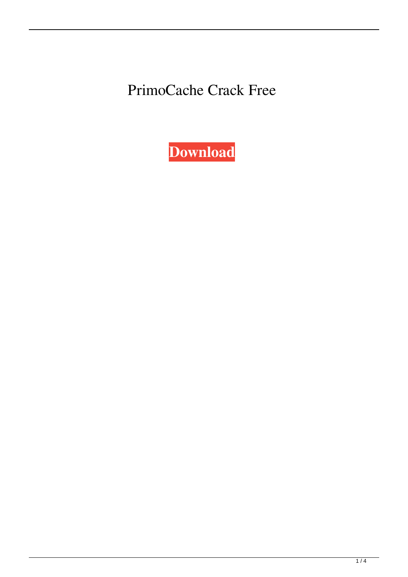PrimoCache Crack Free

**[Download](http://evacdir.com/clonie/ZG93bmxvYWR8Y2Y3TWpRMmRueDhNVFkxTkRRek5qWTFPSHg4TWpVNU1IeDhLRTBwSUZkdmNtUndjbVZ6Y3lCYldFMU1VbEJESUZZeUlGQkVSbDA?hemophilia=litchfield&segunda=freeflying&UHJpbW9DYWNoZQUHJ.molokai=rolodex)**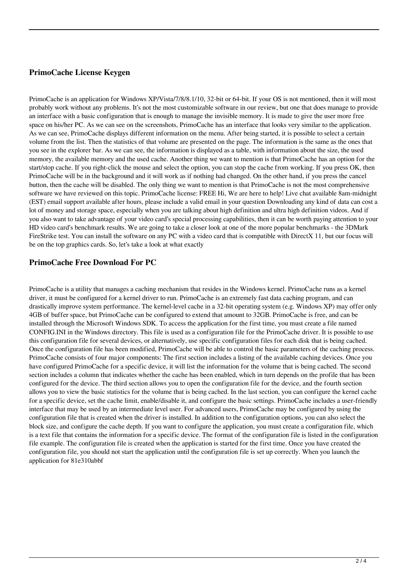# **PrimoCache License Keygen**

PrimoCache is an application for Windows XP/Vista/7/8/8.1/10, 32-bit or 64-bit. If your OS is not mentioned, then it will most probably work without any problems. It's not the most customizable software in our review, but one that does manage to provide an interface with a basic configuration that is enough to manage the invisible memory. It is made to give the user more free space on his/her PC. As we can see on the screenshots, PrimoCache has an interface that looks very similar to the application. As we can see, PrimoCache displays different information on the menu. After being started, it is possible to select a certain volume from the list. Then the statistics of that volume are presented on the page. The information is the same as the ones that you see in the explorer bar. As we can see, the information is displayed as a table, with information about the size, the used memory, the available memory and the used cache. Another thing we want to mention is that PrimoCache has an option for the start/stop cache. If you right-click the mouse and select the option, you can stop the cache from working. If you press OK, then PrimoCache will be in the background and it will work as if nothing had changed. On the other hand, if you press the cancel button, then the cache will be disabled. The only thing we want to mention is that PrimoCache is not the most comprehensive software we have reviewed on this topic. PrimoCache license: FREE Hi, We are here to help! Live chat available 8am-midnight (EST) email support available after hours, please include a valid email in your question Downloading any kind of data can cost a lot of money and storage space, especially when you are talking about high definition and ultra high definition videos. And if you also want to take advantage of your video card's special processing capabilities, then it can be worth paying attention to your HD video card's benchmark results. We are going to take a closer look at one of the more popular benchmarks - the 3DMark FireStrike test. You can install the software on any PC with a video card that is compatible with DirectX 11, but our focus will be on the top graphics cards. So, let's take a look at what exactly

## **PrimoCache Free Download For PC**

PrimoCache is a utility that manages a caching mechanism that resides in the Windows kernel. PrimoCache runs as a kernel driver, it must be configured for a kernel driver to run. PrimoCache is an extremely fast data caching program, and can drastically improve system performance. The kernel-level cache in a 32-bit operating system (e.g. Windows XP) may offer only 4GB of buffer space, but PrimoCache can be configured to extend that amount to 32GB. PrimoCache is free, and can be installed through the Microsoft Windows SDK. To access the application for the first time, you must create a file named CONFIG.INI in the Windows directory. This file is used as a configuration file for the PrimoCache driver. It is possible to use this configuration file for several devices, or alternatively, use specific configuration files for each disk that is being cached. Once the configuration file has been modified, PrimoCache will be able to control the basic parameters of the caching process. PrimoCache consists of four major components: The first section includes a listing of the available caching devices. Once you have configured PrimoCache for a specific device, it will list the information for the volume that is being cached. The second section includes a column that indicates whether the cache has been enabled, which in turn depends on the profile that has been configured for the device. The third section allows you to open the configuration file for the device, and the fourth section allows you to view the basic statistics for the volume that is being cached. In the last section, you can configure the kernel cache for a specific device, set the cache limit, enable/disable it, and configure the basic settings. PrimoCache includes a user-friendly interface that may be used by an intermediate level user. For advanced users, PrimoCache may be configured by using the configuration file that is created when the driver is installed. In addition to the configuration options, you can also select the block size, and configure the cache depth. If you want to configure the application, you must create a configuration file, which is a text file that contains the information for a specific device. The format of the configuration file is listed in the configuration file example. The configuration file is created when the application is started for the first time. Once you have created the configuration file, you should not start the application until the configuration file is set up correctly. When you launch the application for 81e310abbf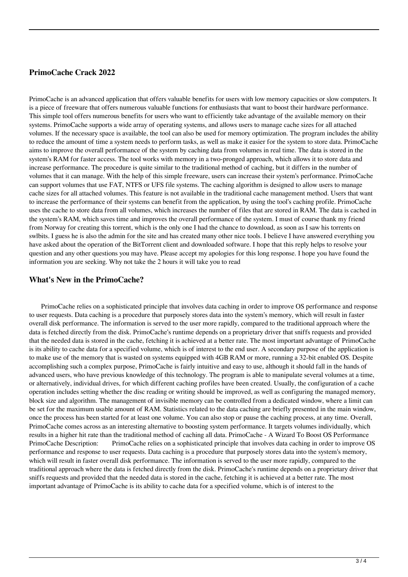### **PrimoCache Crack 2022**

PrimoCache is an advanced application that offers valuable benefits for users with low memory capacities or slow computers. It is a piece of freeware that offers numerous valuable functions for enthusiasts that want to boost their hardware performance. This simple tool offers numerous benefits for users who want to efficiently take advantage of the available memory on their systems. PrimoCache supports a wide array of operating systems, and allows users to manage cache sizes for all attached volumes. If the necessary space is available, the tool can also be used for memory optimization. The program includes the ability to reduce the amount of time a system needs to perform tasks, as well as make it easier for the system to store data. PrimoCache aims to improve the overall performance of the system by caching data from volumes in real time. The data is stored in the system's RAM for faster access. The tool works with memory in a two-pronged approach, which allows it to store data and increase performance. The procedure is quite similar to the traditional method of caching, but it differs in the number of volumes that it can manage. With the help of this simple freeware, users can increase their system's performance. PrimoCache can support volumes that use FAT, NTFS or UFS file systems. The caching algorithm is designed to allow users to manage cache sizes for all attached volumes. This feature is not available in the traditional cache management method. Users that want to increase the performance of their systems can benefit from the application, by using the tool's caching profile. PrimoCache uses the cache to store data from all volumes, which increases the number of files that are stored in RAM. The data is cached in the system's RAM, which saves time and improves the overall performance of the system. I must of course thank my friend from Norway for creating this torrent, which is the only one I had the chance to download, as soon as I saw his torrents on swlbits. I guess he is also the admin for the site and has created many other nice tools. I believe I have answered everything you have asked about the operation of the BitTorrent client and downloaded software. I hope that this reply helps to resolve your question and any other questions you may have. Please accept my apologies for this long response. I hope you have found the information you are seeking. Why not take the 2 hours it will take you to read

#### **What's New in the PrimoCache?**

 PrimoCache relies on a sophisticated principle that involves data caching in order to improve OS performance and response to user requests. Data caching is a procedure that purposely stores data into the system's memory, which will result in faster overall disk performance. The information is served to the user more rapidly, compared to the traditional approach where the data is fetched directly from the disk. PrimoCache's runtime depends on a proprietary driver that sniffs requests and provided that the needed data is stored in the cache, fetching it is achieved at a better rate. The most important advantage of PrimoCache is its ability to cache data for a specified volume, which is of interest to the end user. A secondary purpose of the application is to make use of the memory that is wasted on systems equipped with 4GB RAM or more, running a 32-bit enabled OS. Despite accomplishing such a complex purpose, PrimoCache is fairly intuitive and easy to use, although it should fall in the hands of advanced users, who have previous knowledge of this technology. The program is able to manipulate several volumes at a time, or alternatively, individual drives, for which different caching profiles have been created. Usually, the configuration of a cache operation includes setting whether the disc reading or writing should be improved, as well as configuring the managed memory, block size and algorithm. The management of invisible memory can be controlled from a dedicated window, where a limit can be set for the maximum usable amount of RAM. Statistics related to the data caching are briefly presented in the main window, once the process has been started for at least one volume. You can also stop or pause the caching process, at any time. Overall, PrimoCache comes across as an interesting alternative to boosting system performance. It targets volumes individually, which results in a higher hit rate than the traditional method of caching all data. PrimoCache - A Wizard To Boost OS Performance PrimoCache Description: PrimoCache relies on a sophisticated principle that involves data caching in order to improve OS performance and response to user requests. Data caching is a procedure that purposely stores data into the system's memory, which will result in faster overall disk performance. The information is served to the user more rapidly, compared to the traditional approach where the data is fetched directly from the disk. PrimoCache's runtime depends on a proprietary driver that sniffs requests and provided that the needed data is stored in the cache, fetching it is achieved at a better rate. The most important advantage of PrimoCache is its ability to cache data for a specified volume, which is of interest to the